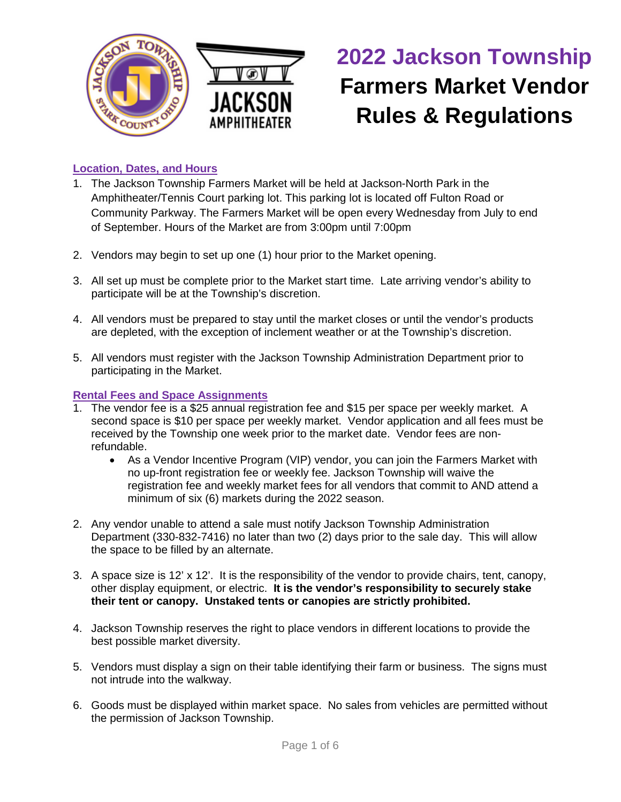

# **2022 Jackson Township Farmers Market Vendor Rules & Regulations**

# **Location, Dates, and Hours**

- 1. The Jackson Township Farmers Market will be held at Jackson-North Park in the Amphitheater/Tennis Court parking lot. This parking lot is located off Fulton Road or Community Parkway. The Farmers Market will be open every Wednesday from July to end of September. Hours of the Market are from 3:00pm until 7:00pm
- 2. Vendors may begin to set up one (1) hour prior to the Market opening.
- 3. All set up must be complete prior to the Market start time. Late arriving vendor's ability to participate will be at the Township's discretion.
- 4. All vendors must be prepared to stay until the market closes or until the vendor's products are depleted, with the exception of inclement weather or at the Township's discretion.
- 5. All vendors must register with the Jackson Township Administration Department prior to participating in the Market.

## **Rental Fees and Space Assignments**

- 1. The vendor fee is a \$25 annual registration fee and \$15 per space per weekly market. A second space is \$10 per space per weekly market. Vendor application and all fees must be received by the Township one week prior to the market date. Vendor fees are nonrefundable.
	- As a Vendor Incentive Program (VIP) vendor, you can join the Farmers Market with no up-front registration fee or weekly fee. Jackson Township will waive the registration fee and weekly market fees for all vendors that commit to AND attend a minimum of six (6) markets during the 2022 season.
- 2. Any vendor unable to attend a sale must notify Jackson Township Administration Department (330-832-7416) no later than two (2) days prior to the sale day. This will allow the space to be filled by an alternate.
- 3. A space size is 12' x 12'. It is the responsibility of the vendor to provide chairs, tent, canopy, other display equipment, or electric. **It is the vendor's responsibility to securely stake their tent or canopy. Unstaked tents or canopies are strictly prohibited.**
- 4. Jackson Township reserves the right to place vendors in different locations to provide the best possible market diversity.
- 5. Vendors must display a sign on their table identifying their farm or business. The signs must not intrude into the walkway.
- 6. Goods must be displayed within market space. No sales from vehicles are permitted without the permission of Jackson Township.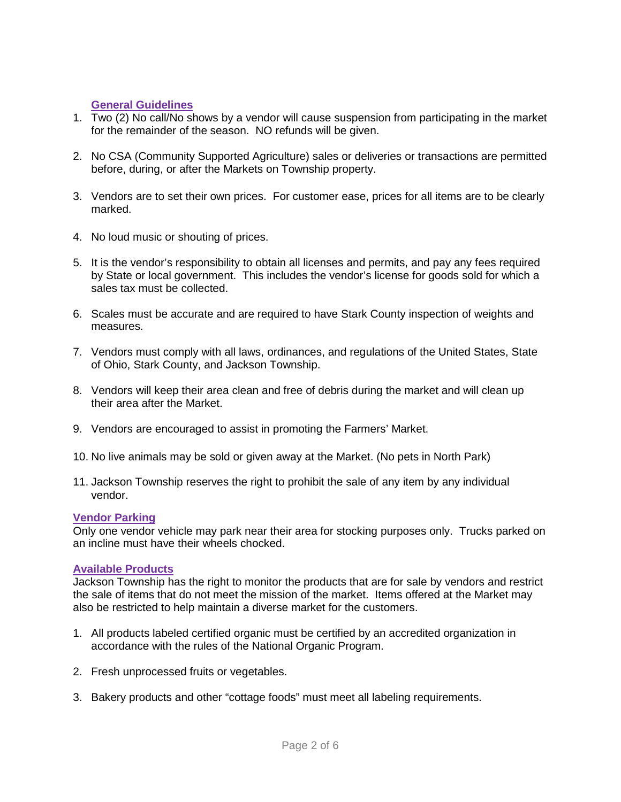## **General Guidelines**

- 1. Two (2) No call/No shows by a vendor will cause suspension from participating in the market for the remainder of the season. NO refunds will be given.
- 2. No CSA (Community Supported Agriculture) sales or deliveries or transactions are permitted before, during, or after the Markets on Township property.
- 3. Vendors are to set their own prices. For customer ease, prices for all items are to be clearly marked.
- 4. No loud music or shouting of prices.
- 5. It is the vendor's responsibility to obtain all licenses and permits, and pay any fees required by State or local government. This includes the vendor's license for goods sold for which a sales tax must be collected.
- 6. Scales must be accurate and are required to have Stark County inspection of weights and measures.
- 7. Vendors must comply with all laws, ordinances, and regulations of the United States, State of Ohio, Stark County, and Jackson Township.
- 8. Vendors will keep their area clean and free of debris during the market and will clean up their area after the Market.
- 9. Vendors are encouraged to assist in promoting the Farmers' Market.
- 10. No live animals may be sold or given away at the Market. (No pets in North Park)
- 11. Jackson Township reserves the right to prohibit the sale of any item by any individual vendor.

## **Vendor Parking**

Only one vendor vehicle may park near their area for stocking purposes only. Trucks parked on an incline must have their wheels chocked.

## **Available Products**

Jackson Township has the right to monitor the products that are for sale by vendors and restrict the sale of items that do not meet the mission of the market. Items offered at the Market may also be restricted to help maintain a diverse market for the customers.

- 1. All products labeled certified organic must be certified by an accredited organization in accordance with the rules of the National Organic Program.
- 2. Fresh unprocessed fruits or vegetables.
- 3. Bakery products and other "cottage foods" must meet all labeling requirements.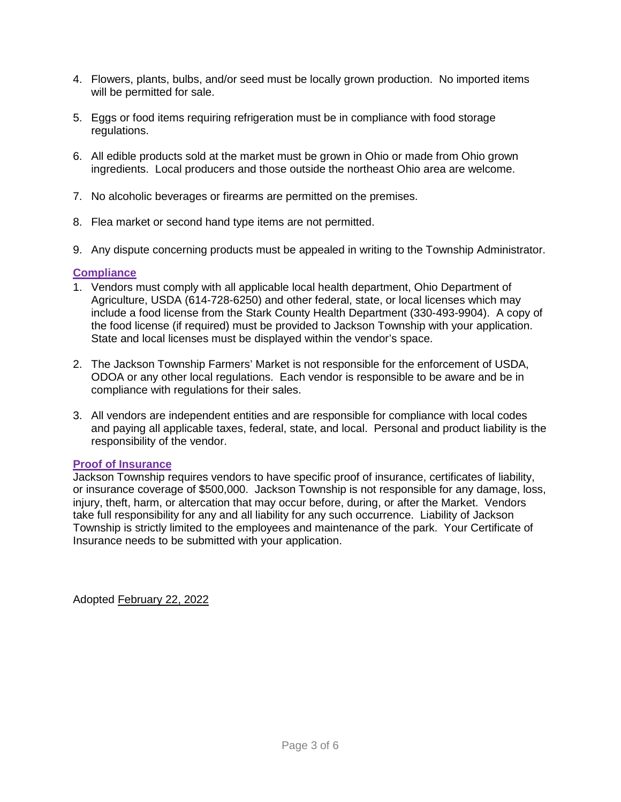- 4. Flowers, plants, bulbs, and/or seed must be locally grown production. No imported items will be permitted for sale.
- 5. Eggs or food items requiring refrigeration must be in compliance with food storage regulations.
- 6. All edible products sold at the market must be grown in Ohio or made from Ohio grown ingredients. Local producers and those outside the northeast Ohio area are welcome.
- 7. No alcoholic beverages or firearms are permitted on the premises.
- 8. Flea market or second hand type items are not permitted.
- 9. Any dispute concerning products must be appealed in writing to the Township Administrator.

## **Compliance**

- 1. Vendors must comply with all applicable local health department, Ohio Department of Agriculture, USDA (614-728-6250) and other federal, state, or local licenses which may include a food license from the Stark County Health Department (330-493-9904). A copy of the food license (if required) must be provided to Jackson Township with your application. State and local licenses must be displayed within the vendor's space.
- 2. The Jackson Township Farmers' Market is not responsible for the enforcement of USDA, ODOA or any other local regulations. Each vendor is responsible to be aware and be in compliance with regulations for their sales.
- 3. All vendors are independent entities and are responsible for compliance with local codes and paying all applicable taxes, federal, state, and local. Personal and product liability is the responsibility of the vendor.

## **Proof of Insurance**

Jackson Township requires vendors to have specific proof of insurance, certificates of liability, or insurance coverage of \$500,000. Jackson Township is not responsible for any damage, loss, injury, theft, harm, or altercation that may occur before, during, or after the Market. Vendors take full responsibility for any and all liability for any such occurrence. Liability of Jackson Township is strictly limited to the employees and maintenance of the park. Your Certificate of Insurance needs to be submitted with your application.

Adopted February 22, 2022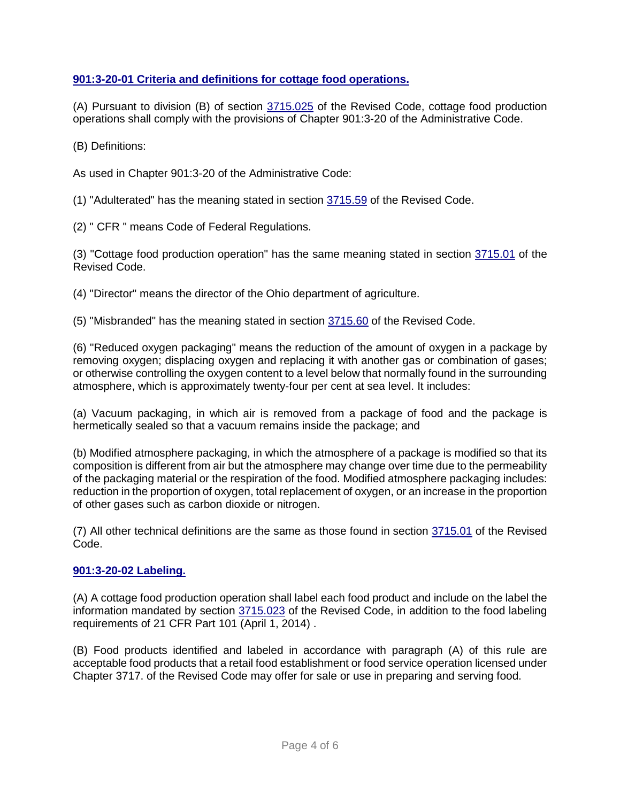## **[901:3-20-01 Criteria and definitions for cottage food operations.](http://codes.ohio.gov/oac/901:3-20-01v1)**

(A) Pursuant to division (B) of section [3715.025](http://codes.ohio.gov/orc/3715.025) of the Revised Code, cottage food production operations shall comply with the provisions of Chapter 901:3-20 of the Administrative Code.

(B) Definitions:

As used in Chapter 901:3-20 of the Administrative Code:

(1) "Adulterated" has the meaning stated in section [3715.59](http://codes.ohio.gov/orc/3715.59) of the Revised Code.

(2) " CFR " means Code of Federal Regulations.

(3) "Cottage food production operation" has the same meaning stated in section [3715.01](http://codes.ohio.gov/orc/3715.01) of the Revised Code.

(4) "Director" means the director of the Ohio department of agriculture.

(5) "Misbranded" has the meaning stated in section [3715.60](http://codes.ohio.gov/orc/3715.60) of the Revised Code.

(6) "Reduced oxygen packaging" means the reduction of the amount of oxygen in a package by removing oxygen; displacing oxygen and replacing it with another gas or combination of gases; or otherwise controlling the oxygen content to a level below that normally found in the surrounding atmosphere, which is approximately twenty-four per cent at sea level. It includes:

(a) Vacuum packaging, in which air is removed from a package of food and the package is hermetically sealed so that a vacuum remains inside the package; and

(b) Modified atmosphere packaging, in which the atmosphere of a package is modified so that its composition is different from air but the atmosphere may change over time due to the permeability of the packaging material or the respiration of the food. Modified atmosphere packaging includes: reduction in the proportion of oxygen, total replacement of oxygen, or an increase in the proportion of other gases such as carbon dioxide or nitrogen.

(7) All other technical definitions are the same as those found in section [3715.01](http://codes.ohio.gov/orc/3715.01) of the Revised Code.

## **[901:3-20-02 Labeling.](http://codes.ohio.gov/oac/901:3-20-02v1)**

(A) A cottage food production operation shall label each food product and include on the label the information mandated by section [3715.023](http://codes.ohio.gov/orc/3715.023) of the Revised Code, in addition to the food labeling requirements of 21 CFR Part 101 (April 1, 2014) .

(B) Food products identified and labeled in accordance with paragraph (A) of this rule are acceptable food products that a retail food establishment or food service operation licensed under Chapter 3717. of the Revised Code may offer for sale or use in preparing and serving food.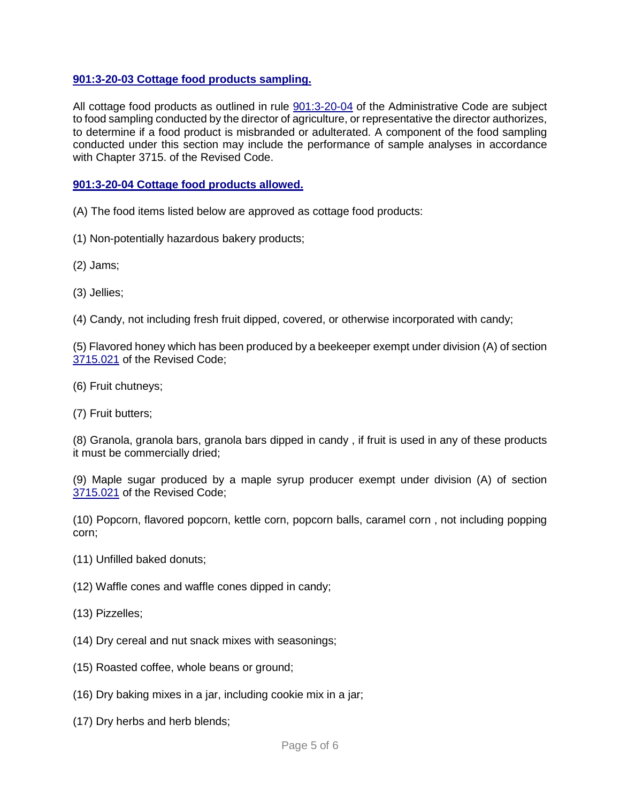## **[901:3-20-03 Cottage food products sampling.](http://codes.ohio.gov/oac/901:3-20-03v1)**

All cottage food products as outlined in rule [901:3-20-04](http://codes.ohio.gov/oac/901:3-20-04) of the Administrative Code are subject to food sampling conducted by the director of agriculture, or representative the director authorizes, to determine if a food product is misbranded or adulterated. A component of the food sampling conducted under this section may include the performance of sample analyses in accordance with Chapter 3715. of the Revised Code.

## **[901:3-20-04 Cottage food products allowed.](http://codes.ohio.gov/oac/901:3-20-04v1)**

- (A) The food items listed below are approved as cottage food products:
- (1) Non-potentially hazardous bakery products;
- (2) Jams;
- (3) Jellies;
- (4) Candy, not including fresh fruit dipped, covered, or otherwise incorporated with candy;

(5) Flavored honey which has been produced by a beekeeper exempt under division (A) of section [3715.021](http://codes.ohio.gov/orc/3715.021) of the Revised Code;

- (6) Fruit chutneys;
- (7) Fruit butters;

(8) Granola, granola bars, granola bars dipped in candy , if fruit is used in any of these products it must be commercially dried;

(9) Maple sugar produced by a maple syrup producer exempt under division (A) of section [3715.021](http://codes.ohio.gov/orc/3715.021) of the Revised Code;

(10) Popcorn, flavored popcorn, kettle corn, popcorn balls, caramel corn , not including popping corn;

- (11) Unfilled baked donuts;
- (12) Waffle cones and waffle cones dipped in candy;
- (13) Pizzelles;
- (14) Dry cereal and nut snack mixes with seasonings;
- (15) Roasted coffee, whole beans or ground;
- (16) Dry baking mixes in a jar, including cookie mix in a jar;
- (17) Dry herbs and herb blends;